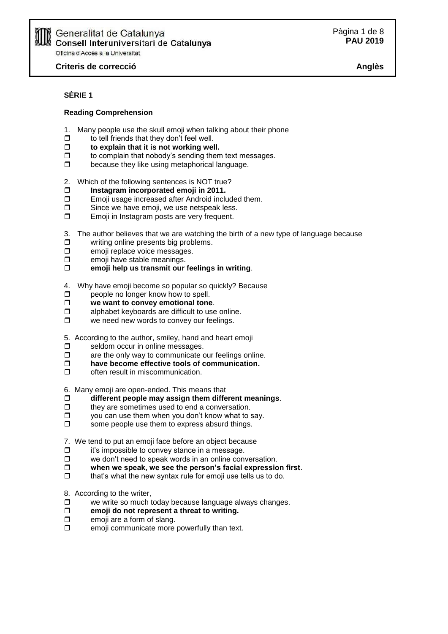# **SÈRIE 1**

#### **Reading Comprehension**

- 1. Many people use the skull emoji when talking about their phone
- $\Box$  to tell friends that they don't feel well.
- **to explain that it is not working well.**
- $\Box$  to complain that nobody's sending them text messages.
- $\Box$  because they like using metaphorical language.
- 2. Which of the following sentences is NOT true?
- **Instagram incorporated emoji in 2011.**
- **Emoji usage increased after Android included them.**
- $\square$  Since we have emoji, we use netspeak less.
- **Emoji in Instagram posts are very frequent.**

3. The author believes that we are watching the birth of a new type of language because

- $\square$  writing online presents big problems.
- $\square$  emoji replace voice messages.
- $\Box$  emoji have stable meanings.
- **emoji help us transmit our feelings in writing**.

4. Why have emoji become so popular so quickly? Because

- $\Box$  people no longer know how to spell.
- $\Box$  we want to convey emotional tone.
- $\Box$  alphabet keyboards are difficult to use online.
- **D** we need new words to convey our feelings.

5. According to the author, smiley, hand and heart emoji

- $\Box$  seldom occur in online messages.
- $\Box$  are the only way to communicate our feelings online.
- **have become effective tools of communication.**
- $\Box$  often result in miscommunication.

6. Many emoji are open-ended. This means that

- **different people may assign them different meanings**.
- $\Box$  they are sometimes used to end a conversation.
- $\Box$  you can use them when you don't know what to say.
- $\Box$  some people use them to express absurd things.

7. We tend to put an emoji face before an object because

- $\Box$  it's impossible to convey stance in a message.
- $\Box$  we don't need to speak words in an online conversation.
- **when we speak, we see the person's facial expression first**.
- $\Box$  that's what the new syntax rule for emoji use tells us to do.

8. According to the writer,

- $\Box$  we write so much today because language always changes.
- **emoji do not represent a threat to writing.**
- $\Box$  emoji are a form of slang.
- $\Box$  emoji communicate more powerfully than text.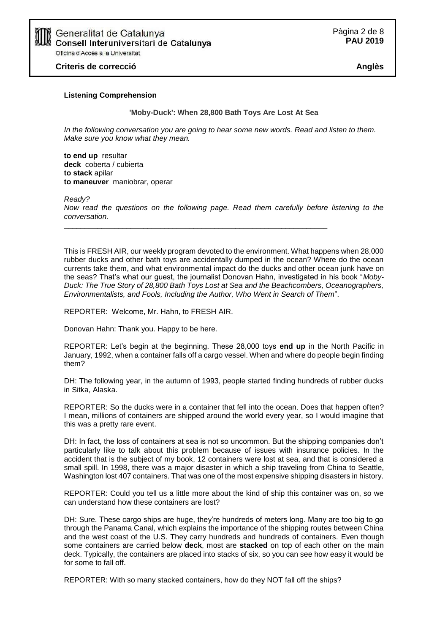

#### **Listening Comprehension**

**'Moby-Duck': When 28,800 Bath Toys Are Lost At Sea**

*In the following conversation you are going to hear some new words. Read and listen to them. Make sure you know what they mean.*

**to end up** resultar **deck** coberta / cubierta **to stack** apilar **to maneuver** maniobrar, operar

*Ready? Now read the questions on the following page. Read them carefully before listening to the conversation.* \_\_\_\_\_\_\_\_\_\_\_\_\_\_\_\_\_\_\_\_\_\_\_\_\_\_\_\_\_\_\_\_\_\_\_\_\_\_\_\_\_\_\_\_\_\_\_\_\_\_\_\_\_\_\_\_\_\_\_\_\_\_\_

This is FRESH AIR, our weekly program devoted to the environment. What happens when 28,000 rubber ducks and other bath toys are accidentally dumped in the ocean? Where do the ocean currents take them, and what environmental impact do the ducks and other ocean junk have on the seas? That's what our guest, the journalist Donovan Hahn, investigated in his book "*Moby-Duck: The True Story of 28,800 Bath Toys Lost at Sea and the Beachcombers, Oceanographers, Environmentalists, and Fools, Including the Author, Who Went in Search of Them*".

REPORTER: Welcome, Mr. Hahn, to FRESH AIR.

Donovan Hahn: Thank you. Happy to be here.

REPORTER: Let's begin at the beginning. These 28,000 toys **end up** in the North Pacific in January, 1992, when a container falls off a cargo vessel. When and where do people begin finding them?

DH: The following year, in the autumn of 1993, people started finding hundreds of rubber ducks in Sitka, Alaska.

REPORTER: So the ducks were in a container that fell into the ocean. Does that happen often? I mean, millions of containers are shipped around the world every year, so I would imagine that this was a pretty rare event.

DH: In fact, the loss of containers at sea is not so uncommon. But the shipping companies don't particularly like to talk about this problem because of issues with insurance policies. In the accident that is the subject of my book, 12 containers were lost at sea, and that is considered a small spill. In 1998, there was a major disaster in which a ship traveling from China to Seattle, Washington lost 407 containers. That was one of the most expensive shipping disasters in history.

REPORTER: Could you tell us a little more about the kind of ship this container was on, so we can understand how these containers are lost?

DH: Sure. These cargo ships are huge, they're hundreds of meters long. Many are too big to go through the Panama Canal, which explains the importance of the shipping routes between China and the west coast of the U.S. They carry hundreds and hundreds of containers. Even though some containers are carried below **deck**, most are **stacked** on top of each other on the main deck. Typically, the containers are placed into stacks of six, so you can see how easy it would be for some to fall off.

REPORTER: With so many stacked containers, how do they NOT fall off the ships?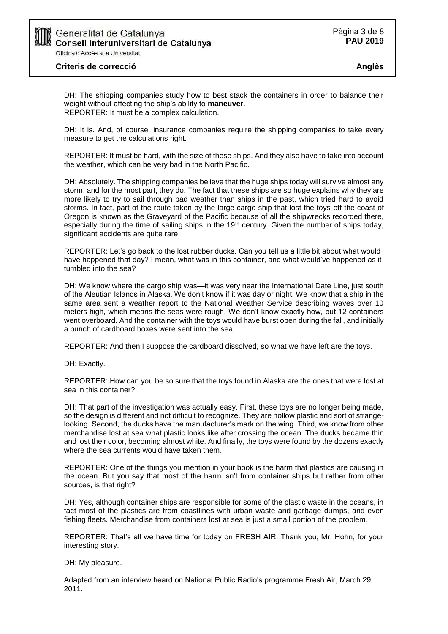

DH: The shipping companies study how to best stack the containers in order to balance their weight without affecting the ship's ability to **maneuver**. REPORTER: It must be a complex calculation.

DH: It is. And, of course, insurance companies require the shipping companies to take every measure to get the calculations right.

REPORTER: It must be hard, with the size of these ships. And they also have to take into account the weather, which can be very bad in the North Pacific.

DH: Absolutely. The shipping companies believe that the huge ships today will survive almost any storm, and for the most part, they do. The fact that these ships are so huge explains why they are more likely to try to sail through bad weather than ships in the past, which tried hard to avoid storms. In fact, part of the route taken by the large cargo ship that lost the toys off the coast of Oregon is known as the Graveyard of the Pacific because of all the shipwrecks recorded there, especially during the time of sailing ships in the 19<sup>th</sup> century. Given the number of ships today, significant accidents are quite rare.

REPORTER: Let's go back to the lost rubber ducks. Can you tell us a little bit about what would have happened that day? I mean, what was in this container, and what would've happened as it tumbled into the sea?

DH: We know where the cargo ship was—it was very near the International Date Line, just south of the Aleutian Islands in Alaska. We don't know if it was day or night. We know that a ship in the same area sent a weather report to the National Weather Service describing waves over 10 meters high, which means the seas were rough. We don't know exactly how, but 12 containers went overboard. And the container with the toys would have burst open during the fall, and initially a bunch of cardboard boxes were sent into the sea.

REPORTER: And then I suppose the cardboard dissolved, so what we have left are the toys.

DH: Exactly.

REPORTER: How can you be so sure that the toys found in Alaska are the ones that were lost at sea in this container?

DH: That part of the investigation was actually easy. First, these toys are no longer being made, so the design is different and not difficult to recognize. They are hollow plastic and sort of strangelooking. Second, the ducks have the manufacturer's mark on the wing. Third, we know from other merchandise lost at sea what plastic looks like after crossing the ocean. The ducks became thin and lost their color, becoming almost white. And finally, the toys were found by the dozens exactly where the sea currents would have taken them.

REPORTER: One of the things you mention in your book is the harm that plastics are causing in the ocean. But you say that most of the harm isn't from container ships but rather from other sources, is that right?

DH: Yes, although container ships are responsible for some of the plastic waste in the oceans, in fact most of the plastics are from coastlines with urban waste and garbage dumps, and even fishing fleets. Merchandise from containers lost at sea is just a small portion of the problem.

REPORTER: That's all we have time for today on FRESH AIR. Thank you, Mr. Hohn, for your interesting story.

DH: My pleasure.

Adapted from an interview heard on National Public Radio's programme Fresh Air, March 29, 2011.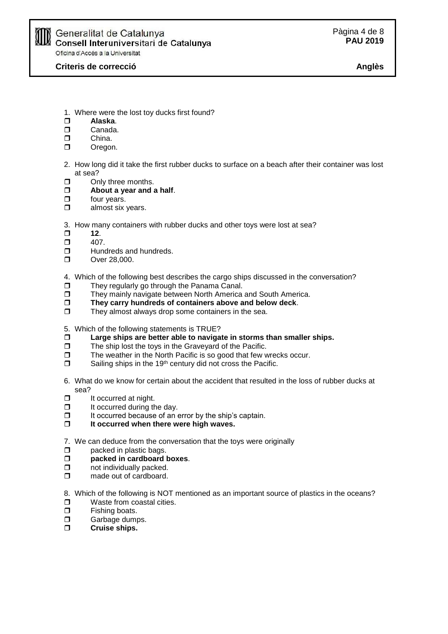

# Generalitat de Catalunya<br>Consell Interuniversitari de ∤ Consell Interuniversitari de Catalunva Oficina d'Accés a la Universitat

**Criteris de correcció Anglès**

- 1. Where were the lost toy ducks first found?
- **Alaska**.
- D Canada.
- D<sub>China</sub>.
- D Oregon.
- 2. How long did it take the first rubber ducks to surface on a beach after their container was lost at sea?
- $\Box$  Only three months.
- **About a year and a half**.
- $\Box$  four years.
- $\Box$  almost six years.
- 3. How many containers with rubber ducks and other toys were lost at sea?
- $\Box$  12.
- $\Box$  407.
- $\Box$  Hundreds and hundreds.
- **D** Over 28,000.
- 4. Which of the following best describes the cargo ships discussed in the conversation?
- $\Box$  They regularly go through the Panama Canal.
- They mainly navigate between North America and South America.
- **They carry hundreds of containers above and below deck**.
- $\square$  They almost always drop some containers in the sea.
- 5. Which of the following statements is TRUE?
- **Large ships are better able to navigate in storms than smaller ships.**
- $\Box$  The ship lost the toys in the Graveyard of the Pacific.
- $\Box$  The weather in the North Pacific is so good that few wrecks occur.
- $\square$  Sailing ships in the 19<sup>th</sup> century did not cross the Pacific.
- 6. What do we know for certain about the accident that resulted in the loss of rubber ducks at sea?
- $\Box$  It occurred at night.
- $\Box$  It occurred during the day.
- $\Box$  It occurred because of an error by the ship's captain.
- **It occurred when there were high waves.**
- 7. We can deduce from the conversation that the toys were originally
- $\Box$  packed in plastic bags.
- **packed in cardboard boxes**.
- $\Box$  not individually packed.
- $\Box$  made out of cardboard.
- 8. Which of the following is NOT mentioned as an important source of plastics in the oceans? **D** Waste from coastal cities.
- $\Box$  Fishing boats.
- **D** Garbage dumps.
- **Cruise ships.**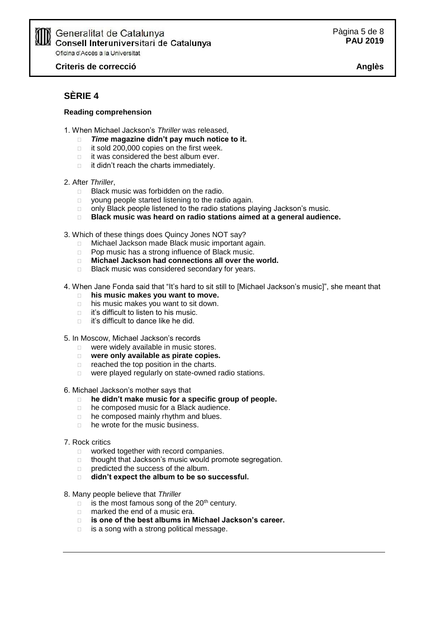

# ∫ Generalitat de Catalunya<br>∤ Consell Interuniversitari de Catalunya Oficina d'Accés a la Universitat

**Criteris de correcció Anglès**

# **SÈRIE 4**

## **Reading comprehension**

- 1. When Michael Jackson's *Thriller* was released,
	- *Time* **magazine didn't pay much notice to it.**
	- $\Box$  it sold 200,000 copies on the first week.
	- it was considered the best album ever.
	- $\Box$  it didn't reach the charts immediately.

### 2. After *Thriller*,

- □ Black music was forbidden on the radio.
- **p** young people started listening to the radio again.
- $\Box$  only Black people listened to the radio stations playing Jackson's music.
- **Black music was heard on radio stations aimed at a general audience.**
- 3. Which of these things does Quincy Jones NOT say?
	- Michael Jackson made Black music important again.
	- □ Pop music has a strong influence of Black music.
	- **Michael Jackson had connections all over the world.**
	- □ Black music was considered secondary for years.
- 4. When Jane Fonda said that "It's hard to sit still to [Michael Jackson's music]", she meant that
	- **his music makes you want to move.**
	- □ his music makes you want to sit down.
	- $\Box$  it's difficult to listen to his music.
	- □ it's difficult to dance like he did.
- 5. In Moscow, Michael Jackson's records
	- were widely available in music stores.
	- **were only available as pirate copies.**
	- $\Box$  reached the top position in the charts.
	- were played regularly on state-owned radio stations.

#### 6. Michael Jackson's mother says that

- **he didn't make music for a specific group of people.**
- □ he composed music for a Black audience.
- □ he composed mainly rhythm and blues.
- □ he wrote for the music business.

### 7. Rock critics

- **D** worked together with record companies.
- $\Box$  thought that Jackson's music would promote segregation.
- predicted the success of the album.
- **didn't expect the album to be so successful.**
- 8. Many people believe that *Thriller*
	- $\Box$  is the most famous song of the 20<sup>th</sup> century.
	- □ marked the end of a music era.
	- **is one of the best albums in Michael Jackson's career.**
	- $\Box$  is a song with a strong political message.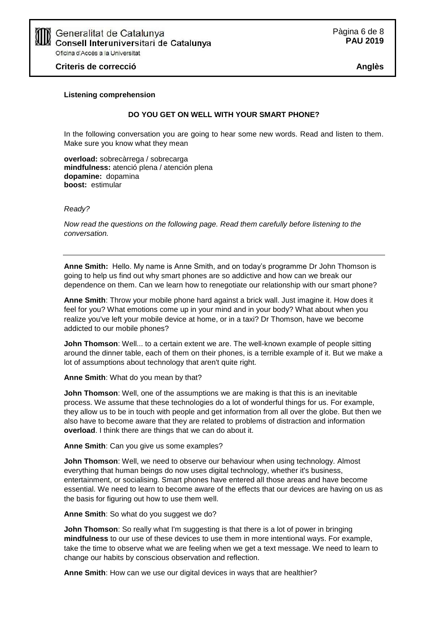

#### **Listening comprehension**

#### **DO YOU GET ON WELL WITH YOUR SMART PHONE?**

In the following conversation you are going to hear some new words. Read and listen to them. Make sure you know what they mean

**overload:** sobrecàrrega / sobrecarga **mindfulness:** atenció plena / atención plena **dopamine:** dopamina **boost:** estimular

*Ready?*

*Now read the questions on the following page. Read them carefully before listening to the conversation.*

**Anne Smith:** Hello. My name is Anne Smith, and on today's programme Dr John Thomson is going to help us find out why smart phones are so addictive and how can we break our dependence on them. Can we learn how to renegotiate our relationship with our smart phone?

**Anne Smith**: Throw your mobile phone hard against a brick wall. Just imagine it. How does it feel for you? What emotions come up in your mind and in your body? What about when you realize you've left your mobile device at home, or in a taxi? Dr Thomson, have we become addicted to our mobile phones?

**John Thomson**: Well... to a certain extent we are. The well-known example of people sitting around the dinner table, each of them on their phones, is a terrible example of it. But we make a lot of assumptions about technology that aren't quite right.

**Anne Smith**: What do you mean by that?

**John Thomson**: Well, one of the assumptions we are making is that this is an inevitable process. We assume that these technologies do a lot of wonderful things for us. For example, they allow us to be in touch with people and get information from all over the globe. But then we also have to become aware that they are related to problems of distraction and information **overload**. I think there are things that we can do about it.

**Anne Smith**: Can you give us some examples?

**John Thomson**: Well, we need to observe our behaviour when using technology. Almost everything that human beings do now uses digital technology, whether it's business, entertainment, or socialising. Smart phones have entered all those areas and have become essential. We need to learn to become aware of the effects that our devices are having on us as the basis for figuring out how to use them well.

**Anne Smith**: So what do you suggest we do?

**John Thomson**: So really what I'm suggesting is that there is a lot of power in bringing **mindfulness** to our use of these devices to use them in more intentional ways. For example, take the time to observe what we are feeling when we get a text message. We need to learn to change our habits by conscious observation and reflection.

**Anne Smith**: How can we use our digital devices in ways that are healthier?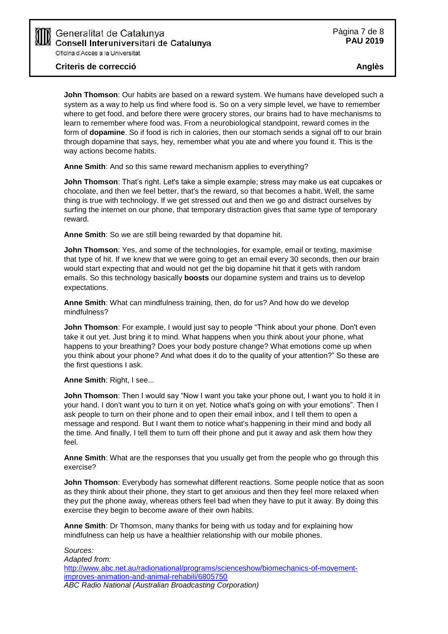Generalitat de Catalunya Consell Interuniversitari de Catalunya Oficina d'Accés a la Universitat

**John Thomson**: Our habits are based on a reward system. We humans have developed such a system as a way to help us find where food is. So on a very simple level, we have to remember where to get food, and before there were grocery stores, our brains had to have mechanisms to learn to remember where food was. From a neurobiological standpoint, reward comes in the form of **dopamine**. So if food is rich in calories, then our stomach sends a signal off to our brain through dopamine that says, hey, remember what you ate and where you found it. This is the way actions become habits.

**Anne Smith**: And so this same reward mechanism applies to everything?

**John Thomson**: That's right. Let's take a simple example; stress may make us eat cupcakes or chocolate, and then we feel better, that's the reward, so that becomes a habit. Well, the same thing is true with technology. If we get stressed out and then we go and distract ourselves by surfing the internet on our phone, that temporary distraction gives that same type of temporary reward.

**Anne Smith**: So we are still being rewarded by that dopamine hit.

**John Thomson**: Yes, and some of the technologies, for example, email or texting, maximise that type of hit. If we knew that we were going to get an email every 30 seconds, then our brain would start expecting that and would not get the big dopamine hit that it gets with random emails. So this technology basically **boosts** our dopamine system and trains us to develop expectations.

**Anne Smith**: What can mindfulness training, then, do for us? And how do we develop mindfulness?

**John Thomson**: For example, I would just say to people "Think about your phone. Don't even take it out yet. Just bring it to mind. What happens when you think about your phone, what happens to your breathing? Does your body posture change? What emotions come up when you think about your phone? And what does it do to the quality of your attention?" So these are the first questions I ask.

**Anne Smith**: Right, I see...

**John Thomson**: Then I would say "Now I want you take your phone out, I want you to hold it in your hand. I don't want you to turn it on yet. Notice what's going on with your emotions". Then I ask people to turn on their phone and to open their email inbox, and I tell them to open a message and respond. But I want them to notice what's happening in their mind and body all the time. And finally, I tell them to turn off their phone and put it away and ask them how they feel.

**Anne Smith**: What are the responses that you usually get from the people who go through this exercise?

**John Thomson**: Everybody has somewhat different reactions. Some people notice that as soon as they think about their phone, they start to get anxious and then they feel more relaxed when they put the phone away, whereas others feel bad when they have to put it away. By doing this exercise they begin to become aware of their own habits.

**Anne Smith**: Dr Thomson, many thanks for being with us today and for explaining how mindfulness can help us have a healthier relationship with our mobile phones.

```
Sources:
Adapted from:
http://www.abc.net.au/radionational/programs/scienceshow/biomechanics-of-movement-
improves-animation-and-animal-rehabili/6805750
ABC Radio National (Australian Broadcasting Corporation)
```